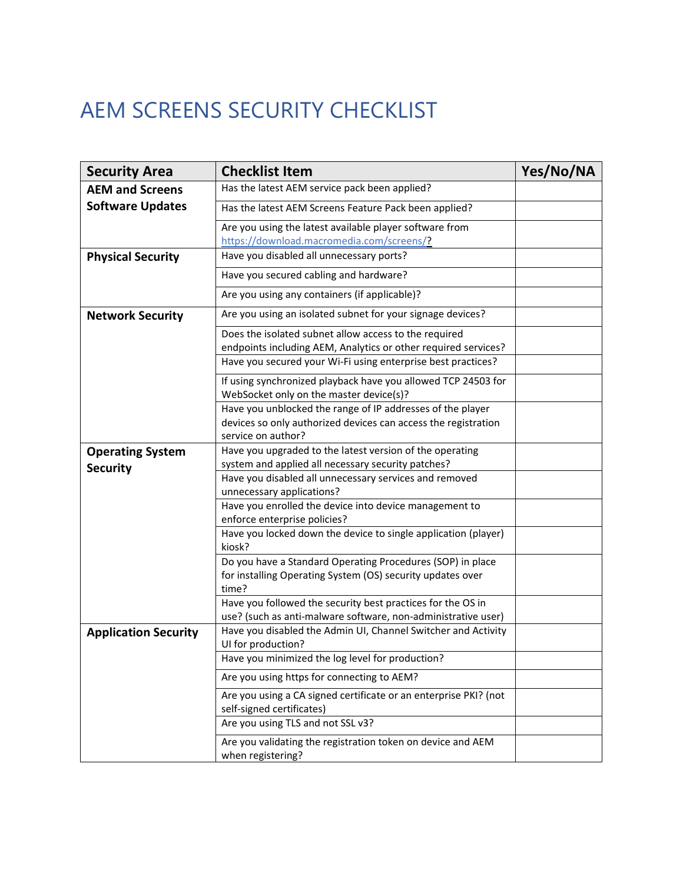## AEM SCREENS SECURITY CHECKLIST

| <b>Security Area</b>        | <b>Checklist Item</b>                                                               | Yes/No/NA |
|-----------------------------|-------------------------------------------------------------------------------------|-----------|
| <b>AEM and Screens</b>      | Has the latest AEM service pack been applied?                                       |           |
| <b>Software Updates</b>     | Has the latest AEM Screens Feature Pack been applied?                               |           |
|                             | Are you using the latest available player software from                             |           |
|                             | https://download.macromedia.com/screens/?                                           |           |
| <b>Physical Security</b>    | Have you disabled all unnecessary ports?                                            |           |
|                             | Have you secured cabling and hardware?                                              |           |
|                             | Are you using any containers (if applicable)?                                       |           |
| <b>Network Security</b>     | Are you using an isolated subnet for your signage devices?                          |           |
|                             | Does the isolated subnet allow access to the required                               |           |
|                             | endpoints including AEM, Analytics or other required services?                      |           |
|                             | Have you secured your Wi-Fi using enterprise best practices?                        |           |
|                             | If using synchronized playback have you allowed TCP 24503 for                       |           |
|                             | WebSocket only on the master device(s)?                                             |           |
|                             | Have you unblocked the range of IP addresses of the player                          |           |
|                             | devices so only authorized devices can access the registration                      |           |
|                             | service on author?                                                                  |           |
| <b>Operating System</b>     | Have you upgraded to the latest version of the operating                            |           |
| <b>Security</b>             | system and applied all necessary security patches?                                  |           |
|                             | Have you disabled all unnecessary services and removed<br>unnecessary applications? |           |
|                             | Have you enrolled the device into device management to                              |           |
|                             | enforce enterprise policies?                                                        |           |
|                             | Have you locked down the device to single application (player)                      |           |
|                             | kiosk?                                                                              |           |
|                             | Do you have a Standard Operating Procedures (SOP) in place                          |           |
|                             | for installing Operating System (OS) security updates over                          |           |
|                             | time?                                                                               |           |
|                             | Have you followed the security best practices for the OS in                         |           |
|                             | use? (such as anti-malware software, non-administrative user)                       |           |
| <b>Application Security</b> | Have you disabled the Admin UI, Channel Switcher and Activity                       |           |
|                             | UI for production?                                                                  |           |
|                             | Have you minimized the log level for production?                                    |           |
|                             | Are you using https for connecting to AEM?                                          |           |
|                             | Are you using a CA signed certificate or an enterprise PKI? (not                    |           |
|                             | self-signed certificates)                                                           |           |
|                             | Are you using TLS and not SSL v3?                                                   |           |
|                             | Are you validating the registration token on device and AEM                         |           |
|                             | when registering?                                                                   |           |